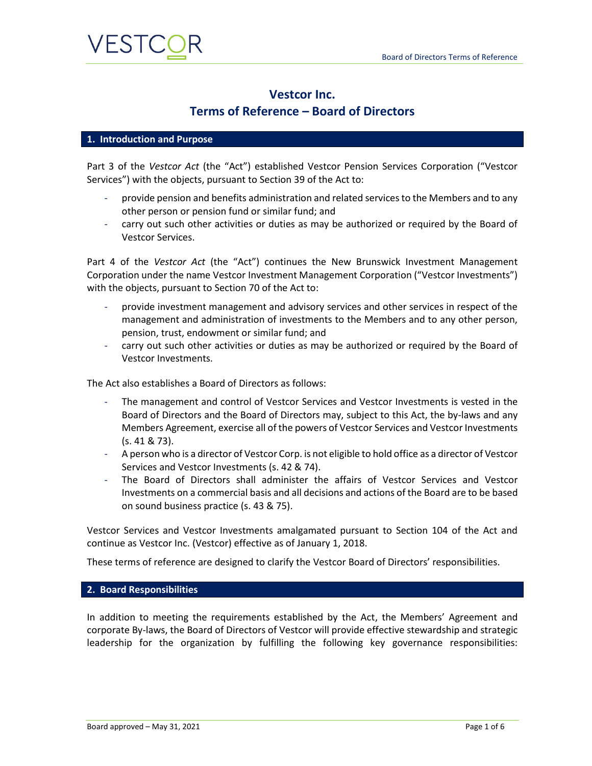

## **Vestcor Inc.**

### **Terms of Reference – Board of Directors**

#### **1. Introduction and Purpose**

Part 3 of the *Vestcor Act* (the "Act") established Vestcor Pension Services Corporation ("Vestcor Services") with the objects, pursuant to Section 39 of the Act to:

- provide pension and benefits administration and related services to the Members and to any other person or pension fund or similar fund; and
- carry out such other activities or duties as may be authorized or required by the Board of Vestcor Services.

Part 4 of the *Vestcor Act* (the "Act") continues the New Brunswick Investment Management Corporation under the name Vestcor Investment Management Corporation ("Vestcor Investments") with the objects, pursuant to Section 70 of the Act to:

- provide investment management and advisory services and other services in respect of the management and administration of investments to the Members and to any other person, pension, trust, endowment or similar fund; and
- carry out such other activities or duties as may be authorized or required by the Board of Vestcor Investments.

The Act also establishes a Board of Directors as follows:

- The management and control of Vestcor Services and Vestcor Investments is vested in the Board of Directors and the Board of Directors may, subject to this Act, the by-laws and any Members Agreement, exercise all of the powers of Vestcor Services and Vestcor Investments (s. 41 & 73).
- A person who is a director of Vestcor Corp. is not eligible to hold office as a director of Vestcor Services and Vestcor Investments (s. 42 & 74).
- The Board of Directors shall administer the affairs of Vestcor Services and Vestcor Investments on a commercial basis and all decisions and actions of the Board are to be based on sound business practice (s. 43 & 75).

Vestcor Services and Vestcor Investments amalgamated pursuant to Section 104 of the Act and continue as Vestcor Inc. (Vestcor) effective as of January 1, 2018.

These terms of reference are designed to clarify the Vestcor Board of Directors' responsibilities.

#### **2. Board Responsibilities**

In addition to meeting the requirements established by the Act, the Members' Agreement and corporate By-laws, the Board of Directors of Vestcor will provide effective stewardship and strategic leadership for the organization by fulfilling the following key governance responsibilities: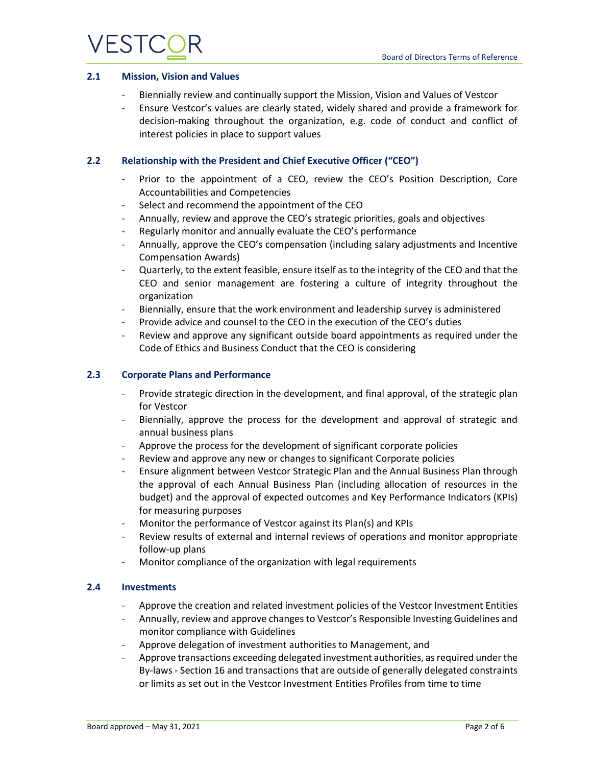

#### **2.1 Mission, Vision and Values**

- Biennially review and continually support the Mission, Vision and Values of Vestcor
- Ensure Vestcor's values are clearly stated, widely shared and provide a framework for decision-making throughout the organization, e.g. code of conduct and conflict of interest policies in place to support values

#### **2.2 Relationship with the President and Chief Executive Officer ("CEO")**

- Prior to the appointment of a CEO, review the CEO's Position Description, Core Accountabilities and Competencies
- Select and recommend the appointment of the CEO
- Annually, review and approve the CEO's strategic priorities, goals and objectives
- Regularly monitor and annually evaluate the CEO's performance
- Annually, approve the CEO's compensation (including salary adjustments and Incentive Compensation Awards)
- Quarterly, to the extent feasible, ensure itself as to the integrity of the CEO and that the CEO and senior management are fostering a culture of integrity throughout the organization
- Biennially, ensure that the work environment and leadership survey is administered
- Provide advice and counsel to the CEO in the execution of the CEO's duties
- Review and approve any significant outside board appointments as required under the Code of Ethics and Business Conduct that the CEO is considering

#### **2.3 Corporate Plans and Performance**

- Provide strategic direction in the development, and final approval, of the strategic plan for Vestcor
- Biennially, approve the process for the development and approval of strategic and annual business plans
- Approve the process for the development of significant corporate policies
- Review and approve any new or changes to significant Corporate policies
- Ensure alignment between Vestcor Strategic Plan and the Annual Business Plan through the approval of each Annual Business Plan (including allocation of resources in the budget) and the approval of expected outcomes and Key Performance Indicators (KPIs) for measuring purposes
- Monitor the performance of Vestcor against its Plan(s) and KPIs
- Review results of external and internal reviews of operations and monitor appropriate follow-up plans
- Monitor compliance of the organization with legal requirements

#### **2.4 Investments**

- Approve the creation and related investment policies of the Vestcor Investment Entities
- Annually, review and approve changes to Vestcor's Responsible Investing Guidelines and monitor compliance with Guidelines
- Approve delegation of investment authorities to Management, and
- Approve transactions exceeding delegated investment authorities, as required under the By-laws - Section 16 and transactions that are outside of generally delegated constraints or limits as set out in the Vestcor Investment Entities Profiles from time to time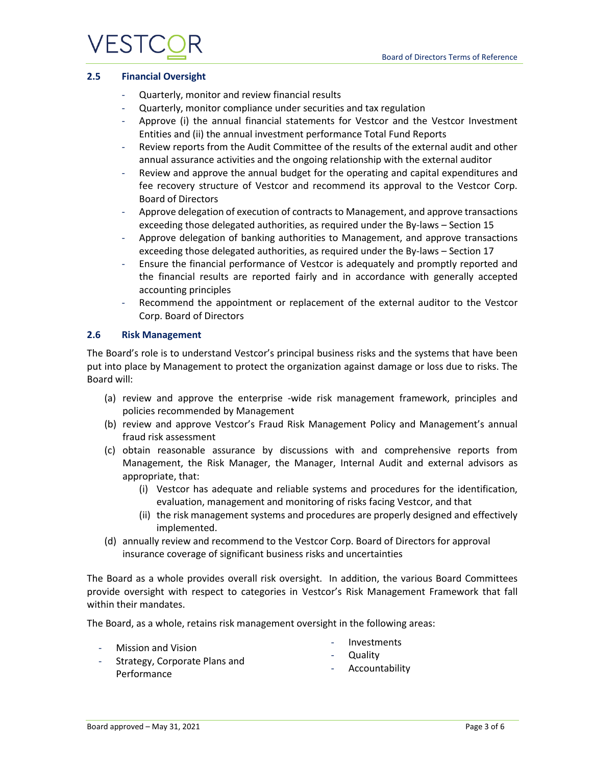# **VESTC**

#### **2.5 Financial Oversight**

- Quarterly, monitor and review financial results
- Quarterly, monitor compliance under securities and tax regulation
- Approve (i) the annual financial statements for Vestcor and the Vestcor Investment Entities and (ii) the annual investment performance Total Fund Reports
- Review reports from the Audit Committee of the results of the external audit and other annual assurance activities and the ongoing relationship with the external auditor
- Review and approve the annual budget for the operating and capital expenditures and fee recovery structure of Vestcor and recommend its approval to the Vestcor Corp. Board of Directors
- Approve delegation of execution of contracts to Management, and approve transactions exceeding those delegated authorities, as required under the By-laws – Section 15
- Approve delegation of banking authorities to Management, and approve transactions exceeding those delegated authorities, as required under the By-laws – Section 17
- Ensure the financial performance of Vestcor is adequately and promptly reported and the financial results are reported fairly and in accordance with generally accepted accounting principles
- Recommend the appointment or replacement of the external auditor to the Vestcor Corp. Board of Directors

#### **2.6 Risk Management**

The Board's role is to understand Vestcor's principal business risks and the systems that have been put into place by Management to protect the organization against damage or loss due to risks. The Board will:

- (a) review and approve the enterprise -wide risk management framework, principles and policies recommended by Management
- (b) review and approve Vestcor's Fraud Risk Management Policy and Management's annual fraud risk assessment
- (c) obtain reasonable assurance by discussions with and comprehensive reports from Management, the Risk Manager, the Manager, Internal Audit and external advisors as appropriate, that:
	- (i) Vestcor has adequate and reliable systems and procedures for the identification, evaluation, management and monitoring of risks facing Vestcor, and that
	- (ii) the risk management systems and procedures are properly designed and effectively implemented.
- (d) annually review and recommend to the Vestcor Corp. Board of Directors for approval insurance coverage of significant business risks and uncertainties

The Board as a whole provides overall risk oversight. In addition, the various Board Committees provide oversight with respect to categories in Vestcor's Risk Management Framework that fall within their mandates.

The Board, as a whole, retains risk management oversight in the following areas:

- Mission and Vision

- **Investments**
- **Quality**
- Strategy, Corporate Plans and Performance
- Accountability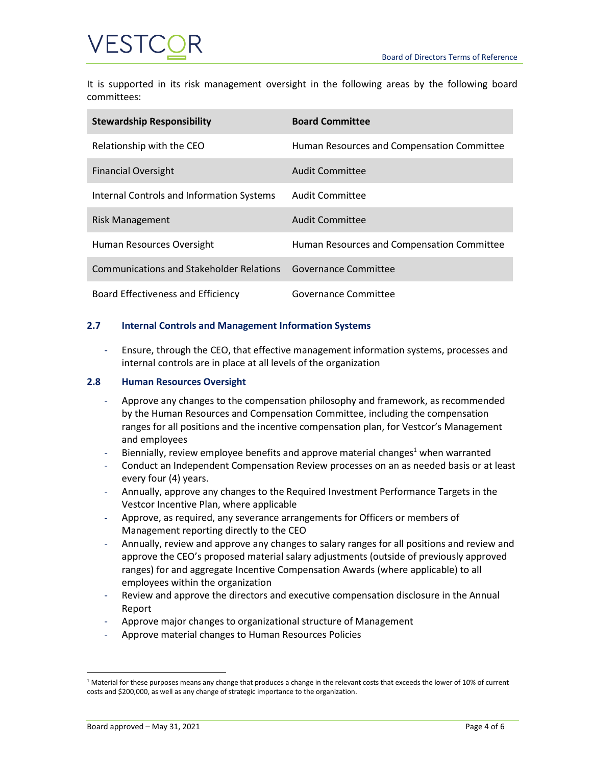

It is supported in its risk management oversight in the following areas by the following board committees:

| <b>Stewardship Responsibility</b>         | <b>Board Committee</b>                     |
|-------------------------------------------|--------------------------------------------|
| Relationship with the CEO                 | Human Resources and Compensation Committee |
| <b>Financial Oversight</b>                | Audit Committee                            |
| Internal Controls and Information Systems | Audit Committee                            |
| Risk Management                           | Audit Committee                            |
| Human Resources Oversight                 | Human Resources and Compensation Committee |
| Communications and Stakeholder Relations  | Governance Committee                       |
| Board Effectiveness and Efficiency        | Governance Committee                       |

#### **2.7 Internal Controls and Management Information Systems**

- Ensure, through the CEO, that effective management information systems, processes and internal controls are in place at all levels of the organization

#### **2.8 Human Resources Oversight**

- Approve any changes to the compensation philosophy and framework, as recommended by the Human Resources and Compensation Committee, including the compensation ranges for all positions and the incentive compensation plan, for Vestcor's Management and employees
- Biennially, review employee benefits and approve material changes<sup>1</sup> when warranted
- Conduct an Independent Compensation Review processes on an as needed basis or at least every four (4) years.
- Annually, approve any changes to the Required Investment Performance Targets in the Vestcor Incentive Plan, where applicable
- Approve, as required, any severance arrangements for Officers or members of Management reporting directly to the CEO
- Annually, review and approve any changes to salary ranges for all positions and review and approve the CEO's proposed material salary adjustments (outside of previously approved ranges) for and aggregate Incentive Compensation Awards (where applicable) to all employees within the organization
- Review and approve the directors and executive compensation disclosure in the Annual Report
- Approve major changes to organizational structure of Management
- Approve material changes to Human Resources Policies

 $1$  Material for these purposes means any change that produces a change in the relevant costs that exceeds the lower of 10% of current costs and \$200,000, as well as any change of strategic importance to the organization.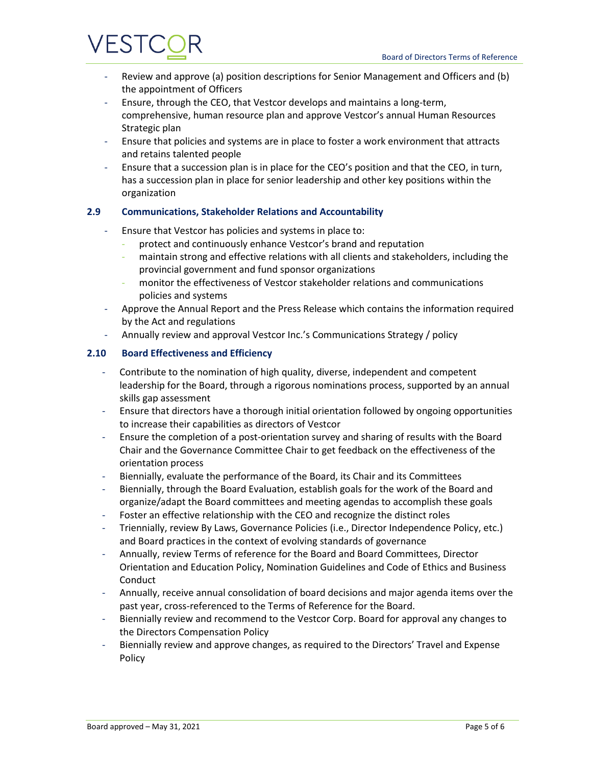# **/ESTC**

- Review and approve (a) position descriptions for Senior Management and Officers and (b) the appointment of Officers
- Ensure, through the CEO, that Vestcor develops and maintains a long-term, comprehensive, human resource plan and approve Vestcor's annual Human Resources Strategic plan
- Ensure that policies and systems are in place to foster a work environment that attracts and retains talented people
- Ensure that a succession plan is in place for the CEO's position and that the CEO, in turn, has a succession plan in place for senior leadership and other key positions within the organization

### **2.9 Communications, Stakeholder Relations and Accountability**

- Ensure that Vestcor has policies and systems in place to:
	- protect and continuously enhance Vestcor's brand and reputation
	- maintain strong and effective relations with all clients and stakeholders, including the provincial government and fund sponsor organizations
	- monitor the effectiveness of Vestcor stakeholder relations and communications policies and systems
- Approve the Annual Report and the Press Release which contains the information required by the Act and regulations
- Annually review and approval Vestcor Inc.'s Communications Strategy / policy

#### **2.10 Board Effectiveness and Efficiency**

- Contribute to the nomination of high quality, diverse, independent and competent leadership for the Board, through a rigorous nominations process, supported by an annual skills gap assessment
- Ensure that directors have a thorough initial orientation followed by ongoing opportunities to increase their capabilities as directors of Vestcor
- Ensure the completion of a post-orientation survey and sharing of results with the Board Chair and the Governance Committee Chair to get feedback on the effectiveness of the orientation process
- Biennially, evaluate the performance of the Board, its Chair and its Committees
- Biennially, through the Board Evaluation, establish goals for the work of the Board and organize/adapt the Board committees and meeting agendas to accomplish these goals
- Foster an effective relationship with the CEO and recognize the distinct roles
- Triennially, review By Laws, Governance Policies (i.e., Director Independence Policy, etc.) and Board practices in the context of evolving standards of governance
- Annually, review Terms of reference for the Board and Board Committees, Director Orientation and Education Policy, Nomination Guidelines and Code of Ethics and Business Conduct
- Annually, receive annual consolidation of board decisions and major agenda items over the past year, cross-referenced to the Terms of Reference for the Board.
- Biennially review and recommend to the Vestcor Corp. Board for approval any changes to the Directors Compensation Policy
- Biennially review and approve changes, as required to the Directors' Travel and Expense Policy